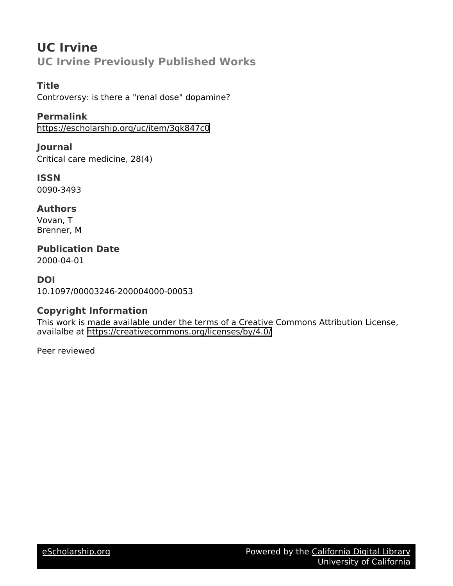# **UC Irvine UC Irvine Previously Published Works**

### **Title**

Controversy: is there a "renal dose" dopamine?

**Permalink**

<https://escholarship.org/uc/item/3gk847c0>

**Journal** Critical care medicine, 28(4)

**ISSN** 0090-3493

**Authors** Vovan, T Brenner, M

**Publication Date**

2000-04-01

**DOI** 10.1097/00003246-200004000-00053

## **Copyright Information**

This work is made available under the terms of a Creative Commons Attribution License, availalbe at <https://creativecommons.org/licenses/by/4.0/>

Peer reviewed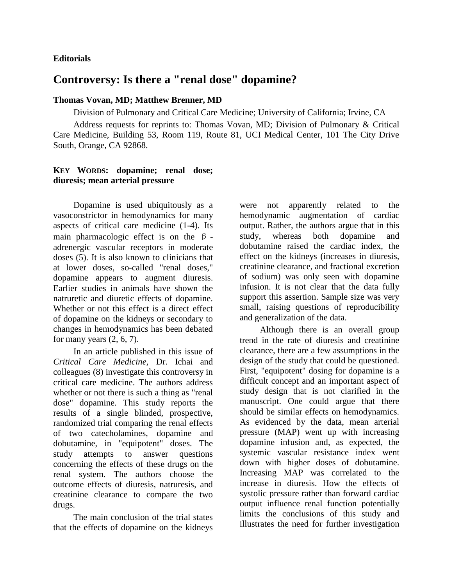#### **Editorials**

## **Controversy: Is there a "renal dose" dopamine?**

#### **Thomas Vovan, MD; Matthew Brenner, MD**

Division of Pulmonary and Critical Care Medicine; University of California; Irvine, CA

Address requests for reprints to: Thomas Vovan, MD; Division of Pulmonary & Critical Care Medicine, Building 53, Room 119, Route 81, UCI Medical Center, 101 The City Drive South, Orange, CA 92868.

#### **KEY WORDS: dopamine; renal dose; diuresis; mean arterial pressure**

Dopamine is used ubiquitously as a vasoconstrictor in hemodynamics for many aspects of critical care medicine (1-4). Its main pharmacologic effect is on the β adrenergic vascular receptors in moderate doses (5). It is also known to clinicians that at lower doses, so-called "renal doses," dopamine appears to augment diuresis. Earlier studies in animals have shown the natruretic and diuretic effects of dopamine. Whether or not this effect is a direct effect of dopamine on the kidneys or secondary to changes in hemodynamics has been debated for many years  $(2, 6, 7)$ .

In an article published in this issue of *Critical Care Medicine,* Dr. Ichai and colleagues (8) investigate this controversy in critical care medicine. The authors address whether or not there is such a thing as "renal dose" dopamine. This study reports the results of a single blinded, prospective, randomized trial comparing the renal effects of two catecholamines, dopamine and dobutamine, in "equipotent" doses. The study attempts to answer questions concerning the effects of these drugs on the renal system. The authors choose the outcome effects of diuresis, natruresis, and creatinine clearance to compare the two drugs.

The main conclusion of the trial states that the effects of dopamine on the kidneys were not apparently related to the hemodynamic augmentation of cardiac output. Rather, the authors argue that in this study, whereas both dopamine and dobutamine raised the cardiac index, the effect on the kidneys (increases in diuresis, creatinine clearance, and fractional excretion of sodium) was only seen with dopamine infusion. It is not clear that the data fully support this assertion. Sample size was very small, raising questions of reproducibility and generalization of the data.

Although there is an overall group trend in the rate of diuresis and creatinine clearance, there are a few assumptions in the design of the study that could be questioned. First, "equipotent" dosing for dopamine is a difficult concept and an important aspect of study design that is not clarified in the manuscript. One could argue that there should be similar effects on hemodynamics. As evidenced by the data, mean arterial pressure (MAP) went up with increasing dopamine infusion and, as expected, the systemic vascular resistance index went down with higher doses of dobutamine. Increasing MAP was correlated to the increase in diuresis. How the effects of systolic pressure rather than forward cardiac output influence renal function potentially limits the conclusions of this study and illustrates the need for further investigation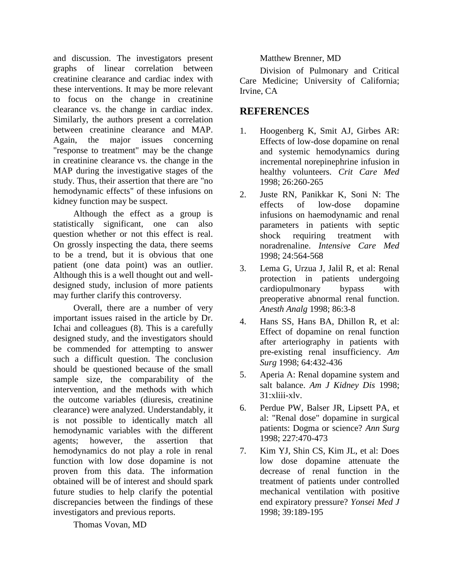and discussion. The investigators present graphs of linear correlation between creatinine clearance and cardiac index with these interventions. It may be more relevant to focus on the change in creatinine clearance vs. the change in cardiac index. Similarly, the authors present a correlation between creatinine clearance and MAP. Again, the major issues concerning "response to treatment" may be the change in creatinine clearance vs. the change in the MAP during the investigative stages of the study. Thus, their assertion that there are "no hemodynamic effects" of these infusions on kidney function may be suspect.

Although the effect as a group is statistically significant, one can also question whether or not this effect is real. On grossly inspecting the data, there seems to be a trend, but it is obvious that one patient (one data point) was an outlier. Although this is a well thought out and welldesigned study, inclusion of more patients may further clarify this controversy.

Overall, there are a number of very important issues raised in the article by Dr. Ichai and colleagues (8). This is a carefully designed study, and the investigators should be commended for attempting to answer such a difficult question. The conclusion should be questioned because of the small sample size, the comparability of the intervention, and the methods with which the outcome variables (diuresis, creatinine clearance) were analyzed. Understandably, it is not possible to identically match all hemodynamic variables with the different agents; however, the assertion that hemodynamics do not play a role in renal function with low dose dopamine is not proven from this data. The information obtained will be of interest and should spark future studies to help clarify the potential discrepancies between the findings of these investigators and previous reports.

Matthew Brenner, MD

Division of Pulmonary and Critical Care Medicine; University of California; Irvine, CA

### **REFERENCES**

- 1. Hoogenberg K, Smit AJ, Girbes AR: Effects of low-dose dopamine on renal and systemic hemodynamics during incremental norepinephrine infusion in healthy volunteers. *Crit Care Med* 1998; 26:260-265
- 2. Juste RN, Panikkar K, Soni N: The effects of low-dose dopamine infusions on haemodynamic and renal parameters in patients with septic shock requiring treatment with noradrenaline. *Intensive Care Med* 1998; 24:564-568
- 3. Lema G, Urzua J, Jalil R, et al: Renal protection in patients undergoing cardiopulmonary bypass with preoperative abnormal renal function. *Anesth Analg* 1998; 86:3-8
- 4. Hans SS, Hans BA, Dhillon R, et al: Effect of dopamine on renal function after arteriography in patients with pre-existing renal insufficiency. *Am Surg* 1998; 64:432-436
- 5. Aperia A: Renal dopamine system and salt balance. *Am J Kidney Dis* 1998; 31:xliii-xlv.
- 6. Perdue PW, Balser JR, Lipsett PA, et al: "Renal dose" dopamine in surgical patients: Dogma or science? *Ann Surg* 1998; 227:470-473
- 7. Kim YJ, Shin CS, Kim JL, et al: Does low dose dopamine attenuate the decrease of renal function in the treatment of patients under controlled mechanical ventilation with positive end expiratory pressure? *Yonsei Med J* 1998; 39:189-195

Thomas Vovan, MD